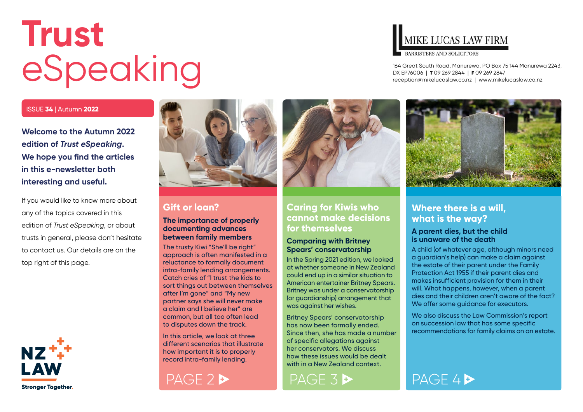# <span id="page-0-0"></span>**Trust** eSpeaking

#### ISSUE **34** | Autumn **2022**

**Welcome to the Autumn 2022 edition of** *Trust eSpeaking***. We hope you find the articles in this e-newsletter both interesting and useful.**

If you would like to know more about any of the topics covered in this edition of *Trust eSpeaking*, or about trusts in general, please don't hesitate to contact us. Our details are on the top right of this page.





### **Gift or loan?**

#### **The importance of properly documenting advances between family members**

The trusty Kiwi "She'll be right" approach is often manifested in a reluctance to formally document intra-family lending arrangements. Catch cries of "I trust the kids to sort things out between themselves after I'm gone" and "My new partner says she will never make a claim and I believe her" are common, but all too often lead to disputes down the track.

In this article, we look at three different scenarios that illustrate how important it is to properly record intra-family lending.





#### **Caring for Kiwis who cannot make decisions for themselves**

#### **Comparing with Britney Spears' conservatorship**

In the Spring 2021 edition, we looked at whether someone in New Zealand could end up in a similar situation to American entertainer Britney Spears. Britney was under a conservatorship (or guardianship) arrangement that was against her wishes.

Britney Spears' conservatorship has now been formally ended. Since then, she has made a number of specific allegations against her conservators. We discuss how these issues would be dealt with in a New Zealand context.

### MIKE LUCAS LAW FIRM

**BARRISTERS AND SOLICITORS** 

164 Great South Road, Manurewa, PO Box 75 144 Manurewa 2243, DX EP76006 | **T** 09 269 2844 | **F** 09 269 2847 [reception@mikelucaslaw.co.nz](mailto:reception%40mikelucaslaw.co.nz?subject=) | [www.mikelucaslaw.co.nz](http://www.mikelucaslaw.co.nz)



#### **Where there is a will, what is the way?**

#### **A parent dies, but the child is unaware of the death**

A child (of whatever age, although minors need a guardian's help) can make a claim against the estate of their parent under the Family Protection Act 1955 if their parent dies and makes insufficient provision for them in their will. What happens, however, when a parent dies and their children aren't aware of the fact? We offer some guidance for executors.

We also discuss the Law Commission's report on succession law that has some specific recommendations for family claims on an estate.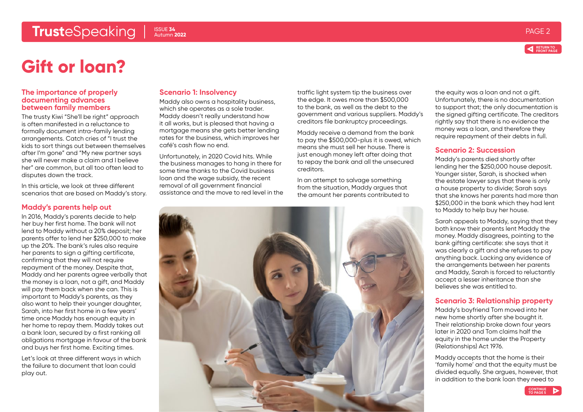### <span id="page-1-0"></span>**Trust**eSpeaking PAGE 2 PAGE 2 ISSUE 34





## **Gift or loan?**

#### **The importance of properly documenting advances between family members**

The trusty Kiwi "She'll be right" approach is often manifested in a reluctance to formally document intra-family lending arrangements. Catch cries of "I trust the kids to sort things out between themselves after I'm gone" and "My new partner says she will never make a claim and I believe her" are common, but all too often lead to disputes down the track.

In this article, we look at three different scenarios that are based on Maddy's story.

#### **Maddy's parents help out**

In 2016, Maddy's parents decide to help her buy her first home. The bank will not lend to Maddy without a 20% deposit; her parents offer to lend her \$250,000 to make up the 20%. The bank's rules also require her parents to sign a gifting certificate, confirming that they will not require repayment of the money. Despite that, Maddy and her parents agree verbally that the money is a loan, not a gift, and Maddy will pay them back when she can. This is important to Maddy's parents, as they also want to help their younger daughter, Sarah, into her first home in a few years' time once Maddy has enough equity in her home to repay them. Maddy takes out a bank loan, secured by a first ranking all obligations mortgage in favour of the bank and buys her first home. Exciting times.

Let's look at three different ways in which the failure to document that loan could play out.

#### **Scenario 1: Insolvency**

Maddy also owns a hospitality business, which she operates as a sole trader. Maddy doesn't really understand how it all works, but is pleased that having a mortgage means she gets better lending rates for the business, which improves her café's cash flow no end.

Unfortunately, in 2020 Covid hits. While the business manages to hang in there for some time thanks to the Covid business loan and the wage subsidy, the recent removal of all government financial assistance and the move to red level in the traffic light system tip the business over the edge. It owes more than \$500,000 to the bank, as well as the debt to the government and various suppliers. Maddy's creditors file bankruptcy proceedings.

Maddy receive a demand from the bank to pay the \$500,000-plus it is owed, which means she must sell her house. There is just enough money left after doing that to repay the bank and all the unsecured creditors.

In an attempt to salvage something from the situation, Maddy argues that the amount her parents contributed to



the equity was a loan and not a gift. Unfortunately, there is no documentation to support that; the only documentation is the signed gifting certificate. The creditors rightly say that there is no evidence the money was a loan, and therefore they require repayment of their debts in full.

#### **Scenario 2: Succession**

Maddy's parents died shortly after lending her the \$250,000 house deposit. Younger sister, Sarah, is shocked when the estate lawyer says that there is only a house property to divide; Sarah says that she knows her parents had more than \$250,000 in the bank which they had lent to Maddy to help buy her house.

Sarah appeals to Maddy, saying that they both know their parents lent Maddy the money. Maddy disagrees, pointing to the bank gifting certificate: she says that it was clearly a gift and she refuses to pay anything back. Lacking any evidence of the arrangements between her parents and Maddy, Sarah is forced to reluctantly accept a lesser inheritance than she believes she was entitled to.

#### **Scenario 3: Relationship property**

Maddy's boyfriend Tom moved into her new home shortly after she bought it. Their relationship broke down four years later in 2020 and Tom claims half the equity in the home under the Property (Relationships) Act 1976.

Maddy accepts that the home is their 'family home' and that the equity must be divided equally. She argues, however, that in addition to the bank loan they need to

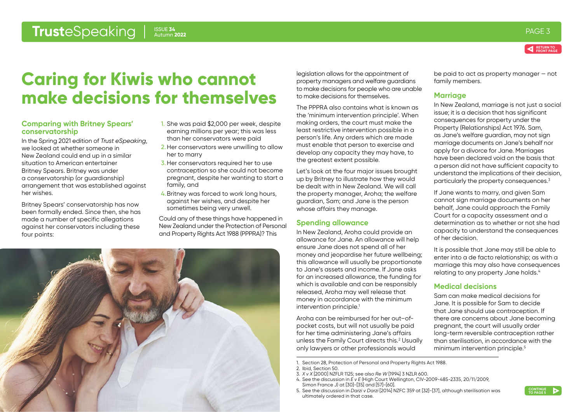#### <span id="page-2-0"></span>**Trust**eSpeaking PAGE 34 autumn 2022 ISSUE **34** Autumn **2022**



## **Caring for Kiwis who cannot make decisions for themselves**

#### **Comparing with Britney Spears' conservatorship**

In the Spring 2021 edition of *Trust eSpeaking*, we looked at whether someone in New Zealand could end up in a similar situation to American entertainer Britney Spears. Britney was under a conservatorship (or guardianship) arrangement that was established against her wishes.

Britney Spears' conservatorship has now been formally ended. Since then, she has made a number of specific allegations against her conservators including these four points:

- 1. She was paid \$2,000 per week, despite earning millions per year; this was less than her conservators were paid
- 2.Her conservators were unwilling to allow her to marry
- 3. Her conservators required her to use contraception so she could not become pregnant, despite her wanting to start a family, and
- 4.Britney was forced to work long hours, against her wishes, and despite her sometimes being very unwell.

Could any of these things have happened in New Zealand under the Protection of Personal and Property Rights Act 1988 (PPPRA)? This

legislation allows for the appointment of property managers and welfare guardians to make decisions for people who are unable to make decisions for themselves.

The PPPRA also contains what is known as the 'minimum intervention principle'. When making orders, the court must make the least restrictive intervention possible in a person's life. Any orders which are made must enable that person to exercise and develop any capacity they may have, to the greatest extent possible.

Let's look at the four major issues brought up by Britney to illustrate how they would be dealt with in New Zealand. We will call the property manager, Aroha; the welfare guardian, Sam; and Jane is the person whose affairs they manage.

#### **Spending allowance**

In New Zealand, Aroha could provide an allowance for Jane. An allowance will help ensure Jane does not spend all of her money and jeopardise her future wellbeing; this allowance will usually be proportionate to Jane's assets and income. If Jane asks for an increased allowance, the funding for which is available and can be responsibly released, Aroha may well release that money in accordance with the minimum intervention principle.<sup>1</sup>

Aroha can be reimbursed for her out–ofpocket costs, but will not usually be paid for her time administering Jane's affairs unless the Family Court directs this.<sup>2</sup> Usually only lawyers or other professionals would

be paid to act as property manager — not family members.

#### **Marriage**

In New Zealand, marriage is not just a social issue; it is a decision that has significant consequences for property under the Property (Relationships) Act 1976. Sam, as Jane's welfare guardian, may not sign marriage documents on Jane's behalf nor apply for a divorce for Jane. Marriages have been declared void on the basis that a person did not have sufficient capacity to understand the implications of their decision, particularly the property consequences.3

If Jane wants to marry, and given Sam cannot sign marriage documents on her behalf, Jane could approach the Family Court for a capacity assessment and a determination as to whether or not she had capacity to understand the consequences of her decision.

It is possible that Jane may still be able to enter into a de facto relationship; as with a marriage this may also have consequences relating to any property Jane holds.<sup>4</sup>

#### **Medical decisions**

Sam can make medical decisions for Jane. It is possible for Sam to decide that Jane should use contraception. If there are concerns about Jane becoming pregnant, the court will usually order long-term reversible contraception rather than sterilisation, in accordance with the minimum intervention principle.<sup>5</sup>

- 3. *X v X* [2000] NZFLR 1125; see also *Re W* [1994] 3 NZLR 600.
- 4. See the discussion in *E v E* (High Court Wellington, CIV-2009-485-2335, 20/11/2009, Simon France J) at [30]-[35] and [57]-[60].
- 5. See the discussion in *Darzi v Darzi* [2014] NZFC 359 at [32]-[37], although sterilisation was ultimately ordered in that case.



<sup>1.</sup> Section 28, Protection of Personal and Property Rights Act 1988.

<sup>2.</sup> Ibid, Section 50.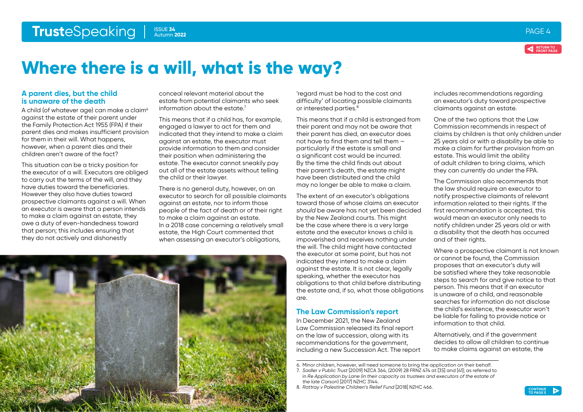<span id="page-3-0"></span>

ISSUE **34** Autumn **2022**

#### **A parent dies, but the child is unaware of the death**

A child (of whatever age) can make a claim<sup>6</sup> against the estate of their parent under the Family Protection Act 1955 (FPA) if their parent dies and makes insufficient provision for them in their will. What happens, however, when a parent dies and their children aren't aware of the fact?

This situation can be a tricky position for the executor of a will. Executors are obliged to carry out the terms of the will, and they have duties toward the beneficiaries. However they also have duties toward prospective claimants against a will. When an executor is aware that a person intends to make a claim against an estate, they owe a duty of even-handedness toward that person; this includes ensuring that they do not actively and dishonestly

conceal relevant material about the estate from potential claimants who seek information about the estate.7

This means that if a child has, for example, engaged a lawyer to act for them and indicated that they intend to make a claim against an estate, the executor must provide information to them and consider their position when administering the estate. The executor cannot sneakily pay out all of the estate assets without telling the child or their lawyer.

There is no general duty, however, on an executor to search for all possible claimants against an estate, nor to inform those people of the fact of death or of their right to make a claim against an estate. In a 2018 case concerning a relatively small estate, the High Court commented that when assessing an executor's obligations,

'regard must be had to the cost and difficulty' of locating possible claimants or interested parties.<sup>8</sup>

This means that if a child is estranged from their parent and may not be aware that their parent has died, an executor does not have to find them and tell them particularly if the estate is small and a significant cost would be incurred. By the time the child finds out about their parent's death, the estate might have been distributed and the child may no longer be able to make a claim.

The extent of an executor's obligations toward those of whose claims an executor *should* be aware has not yet been decided by the New Zealand courts. This might be the case where there is a very large estate and the executor knows a child is impoverished and receives nothing under the will. The child might have contacted the executor at some point, but has not indicated they intend to make a claim against the estate. It is not clear, legally speaking, whether the executor has obligations to that child before distributing the estate and, if so, what those obligations are.

#### **The Law Commission's report**

In December 2021, the New Zealand Law Commission released its final report on the law of succession, along with its recommendations for the government, including a new Succession Act. The report includes recommendations regarding an executor's duty toward prospective claimants against an estate.

One of the two options that the Law Commission recommends in respect of claims by children is that only children under 25 years old or with a disability be able to make a claim for further provision from an estate. This would limit the ability of adult children to bring claims, which they can currently do under the FPA.

The Commission also recommends that the law should require an executor to notify prospective claimants of relevant information related to their rights. If the first recommendation is accepted, this would mean an executor only needs to notify children under 25 years old or with a disability that the death has occurred and of their rights.

Where a prospective claimant is not known or cannot be found, the Commission proposes that an executor's duty will be satisfied where they take reasonable steps to search for and give notice to that person. This means that if an executor is unaware of a child, and reasonable searches for information do not disclose the child's existence, the executor won't be liable for failing to provide notice or information to that child.

Alternatively, and if the government decides to allow all children to continue to make claims against an estate, the

<sup>8.</sup> *Rattray v Palestine Children's Relief Fund* [2018] NZHC 466.





<sup>6.</sup> Minor children, however, will need someone to bring the application on their behalf.

<sup>7.</sup> *Sadler v Public Trust* [2009] NZCA 364, (2009) 28 FRNZ 474 at [35] and [41]; as referred to in *Re Application by Lane (in their capacity as trustees and executors of the estate of the late Carson*) [2017] NZHC 3144.